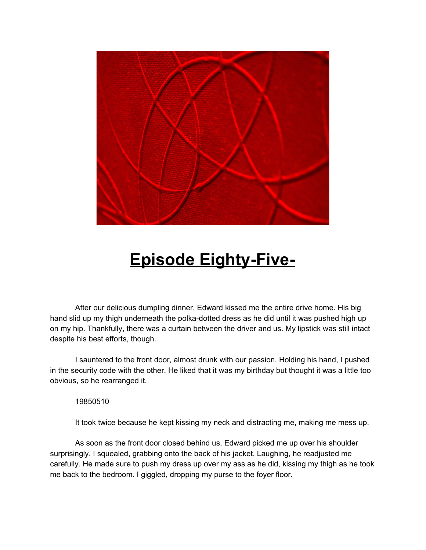

## **Episode Eighty-Five-**

After our delicious dumpling dinner, Edward kissed me the entire drive home. His big hand slid up my thigh underneath the polka-dotted dress as he did until it was pushed high up on my hip. Thankfully, there was a curtain between the driver and us. My lipstick was still intact despite his best efforts, though.

I sauntered to the front door, almost drunk with our passion. Holding his hand, I pushed in the security code with the other. He liked that it was my birthday but thought it was a little too obvious, so he rearranged it.

19850510

It took twice because he kept kissing my neck and distracting me, making me mess up.

As soon as the front door closed behind us, Edward picked me up over his shoulder surprisingly. I squealed, grabbing onto the back of his jacket. Laughing, he readjusted me carefully. He made sure to push my dress up over my ass as he did, kissing my thigh as he took me back to the bedroom. I giggled, dropping my purse to the foyer floor.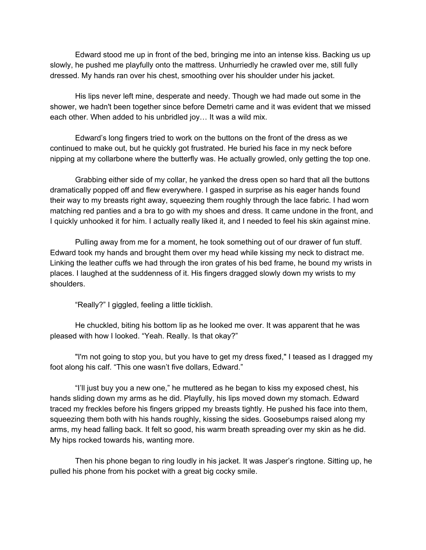Edward stood me up in front of the bed, bringing me into an intense kiss. Backing us up slowly, he pushed me playfully onto the mattress. Unhurriedly he crawled over me, still fully dressed. My hands ran over his chest, smoothing over his shoulder under his jacket.

His lips never left mine, desperate and needy. Though we had made out some in the shower, we hadn't been together since before Demetri came and it was evident that we missed each other. When added to his unbridled joy… It was a wild mix.

Edward's long fingers tried to work on the buttons on the front of the dress as we continued to make out, but he quickly got frustrated. He buried his face in my neck before nipping at my collarbone where the butterfly was. He actually growled, only getting the top one.

Grabbing either side of my collar, he yanked the dress open so hard that all the buttons dramatically popped off and flew everywhere. I gasped in surprise as his eager hands found their way to my breasts right away, squeezing them roughly through the lace fabric. I had worn matching red panties and a bra to go with my shoes and dress. It came undone in the front, and I quickly unhooked it for him. I actually really liked it, and I needed to feel his skin against mine.

Pulling away from me for a moment, he took something out of our drawer of fun stuff. Edward took my hands and brought them over my head while kissing my neck to distract me. Linking the leather cuffs we had through the iron grates of his bed frame, he bound my wrists in places. I laughed at the suddenness of it. His fingers dragged slowly down my wrists to my shoulders.

"Really?" I giggled, feeling a little ticklish.

He chuckled, biting his bottom lip as he looked me over. It was apparent that he was pleased with how I looked. "Yeah. Really. Is that okay?"

"I'm not going to stop you, but you have to get my dress fixed," I teased as I dragged my foot along his calf. "This one wasn't five dollars, Edward."

"I'll just buy you a new one," he muttered as he began to kiss my exposed chest, his hands sliding down my arms as he did. Playfully, his lips moved down my stomach. Edward traced my freckles before his fingers gripped my breasts tightly. He pushed his face into them, squeezing them both with his hands roughly, kissing the sides. Goosebumps raised along my arms, my head falling back. It felt so good, his warm breath spreading over my skin as he did. My hips rocked towards his, wanting more.

Then his phone began to ring loudly in his jacket. It was Jasper's ringtone. Sitting up, he pulled his phone from his pocket with a great big cocky smile.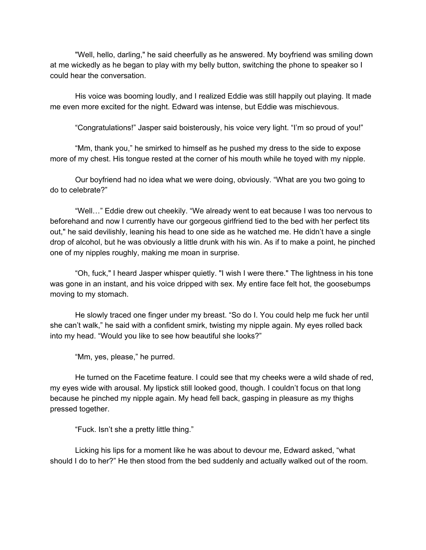"Well, hello, darling," he said cheerfully as he answered. My boyfriend was smiling down at me wickedly as he began to play with my belly button, switching the phone to speaker so I could hear the conversation.

His voice was booming loudly, and I realized Eddie was still happily out playing. It made me even more excited for the night. Edward was intense, but Eddie was mischievous.

"Congratulations!" Jasper said boisterously, his voice very light. "I'm so proud of you!"

"Mm, thank you," he smirked to himself as he pushed my dress to the side to expose more of my chest. His tongue rested at the corner of his mouth while he toyed with my nipple.

Our boyfriend had no idea what we were doing, obviously. "What are you two going to do to celebrate?"

"Well…" Eddie drew out cheekily. "We already went to eat because I was too nervous to beforehand and now I currently have our gorgeous girlfriend tied to the bed with her perfect tits out," he said devilishly, leaning his head to one side as he watched me. He didn't have a single drop of alcohol, but he was obviously a little drunk with his win. As if to make a point, he pinched one of my nipples roughly, making me moan in surprise.

"Oh, fuck," I heard Jasper whisper quietly. "I wish I were there." The lightness in his tone was gone in an instant, and his voice dripped with sex. My entire face felt hot, the goosebumps moving to my stomach.

He slowly traced one finger under my breast. "So do I. You could help me fuck her until she can't walk," he said with a confident smirk, twisting my nipple again. My eyes rolled back into my head. "Would you like to see how beautiful she looks?"

"Mm, yes, please," he purred.

He turned on the Facetime feature. I could see that my cheeks were a wild shade of red, my eyes wide with arousal. My lipstick still looked good, though. I couldn't focus on that long because he pinched my nipple again. My head fell back, gasping in pleasure as my thighs pressed together.

"Fuck. Isn't she a pretty little thing."

Licking his lips for a moment like he was about to devour me, Edward asked, "what should I do to her?" He then stood from the bed suddenly and actually walked out of the room.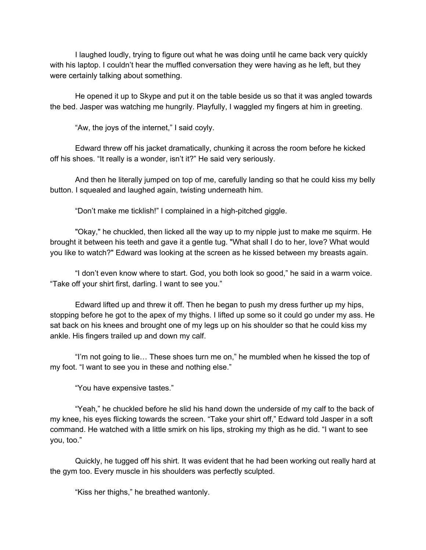I laughed loudly, trying to figure out what he was doing until he came back very quickly with his laptop. I couldn't hear the muffled conversation they were having as he left, but they were certainly talking about something.

He opened it up to Skype and put it on the table beside us so that it was angled towards the bed. Jasper was watching me hungrily. Playfully, I waggled my fingers at him in greeting.

"Aw, the joys of the internet," I said coyly.

Edward threw off his jacket dramatically, chunking it across the room before he kicked off his shoes. "It really is a wonder, isn't it?" He said very seriously.

And then he literally jumped on top of me, carefully landing so that he could kiss my belly button. I squealed and laughed again, twisting underneath him.

"Don't make me ticklish!" I complained in a high-pitched giggle.

"Okay," he chuckled, then licked all the way up to my nipple just to make me squirm. He brought it between his teeth and gave it a gentle tug. "What shall I do to her, love? What would you like to watch?" Edward was looking at the screen as he kissed between my breasts again.

"I don't even know where to start. God, you both look so good," he said in a warm voice. "Take off your shirt first, darling. I want to see you."

Edward lifted up and threw it off. Then he began to push my dress further up my hips, stopping before he got to the apex of my thighs. I lifted up some so it could go under my ass. He sat back on his knees and brought one of my legs up on his shoulder so that he could kiss my ankle. His fingers trailed up and down my calf.

"I'm not going to lie… These shoes turn me on," he mumbled when he kissed the top of my foot. "I want to see you in these and nothing else."

"You have expensive tastes."

"Yeah," he chuckled before he slid his hand down the underside of my calf to the back of my knee, his eyes flicking towards the screen. "Take your shirt off," Edward told Jasper in a soft command. He watched with a little smirk on his lips, stroking my thigh as he did. "I want to see you, too."

Quickly, he tugged off his shirt. It was evident that he had been working out really hard at the gym too. Every muscle in his shoulders was perfectly sculpted.

"Kiss her thighs," he breathed wantonly.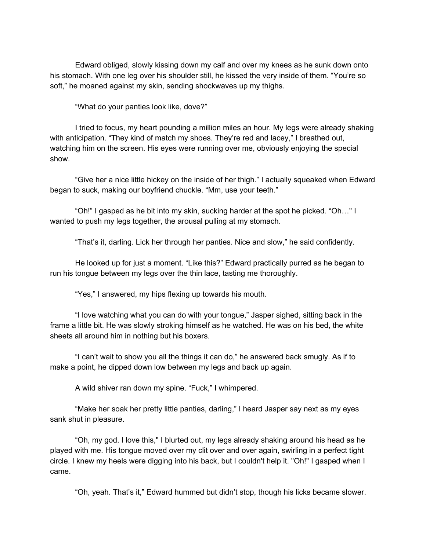Edward obliged, slowly kissing down my calf and over my knees as he sunk down onto his stomach. With one leg over his shoulder still, he kissed the very inside of them. "You're so soft," he moaned against my skin, sending shockwaves up my thighs.

"What do your panties look like, dove?"

I tried to focus, my heart pounding a million miles an hour. My legs were already shaking with anticipation. "They kind of match my shoes. They're red and lacey," I breathed out, watching him on the screen. His eyes were running over me, obviously enjoying the special show.

"Give her a nice little hickey on the inside of her thigh." I actually squeaked when Edward began to suck, making our boyfriend chuckle. "Mm, use your teeth."

"Oh!" I gasped as he bit into my skin, sucking harder at the spot he picked. "Oh…" I wanted to push my legs together, the arousal pulling at my stomach.

"That's it, darling. Lick her through her panties. Nice and slow," he said confidently.

He looked up for just a moment. "Like this?" Edward practically purred as he began to run his tongue between my legs over the thin lace, tasting me thoroughly.

"Yes," I answered, my hips flexing up towards his mouth.

"I love watching what you can do with your tongue," Jasper sighed, sitting back in the frame a little bit. He was slowly stroking himself as he watched. He was on his bed, the white sheets all around him in nothing but his boxers.

"I can't wait to show you all the things it can do," he answered back smugly. As if to make a point, he dipped down low between my legs and back up again.

A wild shiver ran down my spine. "Fuck," I whimpered.

"Make her soak her pretty little panties, darling," I heard Jasper say next as my eyes sank shut in pleasure.

"Oh, my god. I love this," I blurted out, my legs already shaking around his head as he played with me. His tongue moved over my clit over and over again, swirling in a perfect tight circle. I knew my heels were digging into his back, but I couldn't help it. "Oh!" I gasped when I came.

"Oh, yeah. That's it," Edward hummed but didn't stop, though his licks became slower.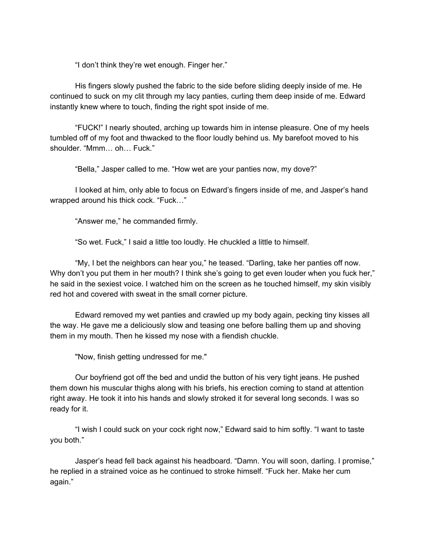"I don't think they're wet enough. Finger her."

His fingers slowly pushed the fabric to the side before sliding deeply inside of me. He continued to suck on my clit through my lacy panties, curling them deep inside of me. Edward instantly knew where to touch, finding the right spot inside of me.

"FUCK!" I nearly shouted, arching up towards him in intense pleasure. One of my heels tumbled off of my foot and thwacked to the floor loudly behind us. My barefoot moved to his shoulder. "Mmm… oh… Fuck."

"Bella," Jasper called to me. "How wet are your panties now, my dove?"

I looked at him, only able to focus on Edward's fingers inside of me, and Jasper's hand wrapped around his thick cock. "Fuck…"

"Answer me," he commanded firmly.

"So wet. Fuck," I said a little too loudly. He chuckled a little to himself.

"My, I bet the neighbors can hear you," he teased. "Darling, take her panties off now. Why don't you put them in her mouth? I think she's going to get even louder when you fuck her," he said in the sexiest voice. I watched him on the screen as he touched himself, my skin visibly red hot and covered with sweat in the small corner picture.

Edward removed my wet panties and crawled up my body again, pecking tiny kisses all the way. He gave me a deliciously slow and teasing one before balling them up and shoving them in my mouth. Then he kissed my nose with a fiendish chuckle.

"Now, finish getting undressed for me."

Our boyfriend got off the bed and undid the button of his very tight jeans. He pushed them down his muscular thighs along with his briefs, his erection coming to stand at attention right away. He took it into his hands and slowly stroked it for several long seconds. I was so ready for it.

"I wish I could suck on your cock right now," Edward said to him softly. "I want to taste you both."

Jasper's head fell back against his headboard. "Damn. You will soon, darling. I promise," he replied in a strained voice as he continued to stroke himself. "Fuck her. Make her cum again."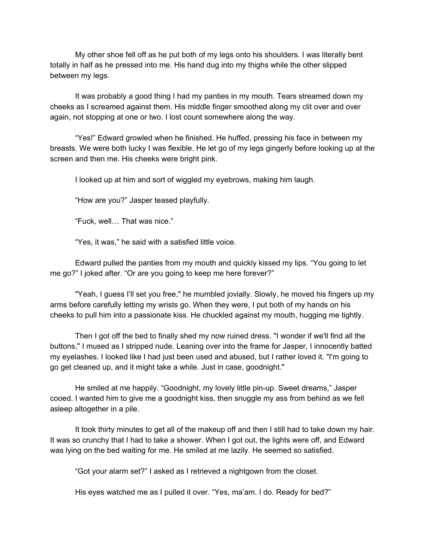My other shoe fell off as he put both of my legs onto his shoulders. I was literally bent totally in half as he pressed into me. His hand dug into my thighs while the other slipped between my legs.

It was probably a good thing I had my panties in my mouth. Tears streamed down my cheeks as I screamed against them. His middle finger smoothed along my clit over and over again, not stopping at one or two. I lost count somewhere along the way.

"Yes!" Edward growled when he finished. He huffed, pressing his face in between my breasts. We were both lucky I was flexible. He let go of my legs gingerly before looking up at the screen and then me. His cheeks were bright pink.

I looked up at him and sort of wiggled my eyebrows, making him laugh.

"How are you?" Jasper teased playfully.

"Fuck, well… That was nice."

"Yes, it was," he said with a satisfied little voice.

Edward pulled the panties from my mouth and quickly kissed my lips. "You going to let me go?" I joked after. "Or are you going to keep me here forever?"

"Yeah, I guess I'll set you free," he mumbled jovially. Slowly, he moved his fingers up my arms before carefully letting my wrists go. When they were, I put both of my hands on his cheeks to pull him into a passionate kiss. He chuckled against my mouth, hugging me tightly.

Then I got off the bed to finally shed my now ruined dress. "I wonder if we'll find all the buttons," I mused as I stripped nude. Leaning over into the frame for Jasper, I innocently batted my eyelashes. I looked like I had just been used and abused, but I rather loved it. "I'm going to go get cleaned up, and it might take a while. Just in case, goodnight."

He smiled at me happily. "Goodnight, my lovely little pin-up. Sweet dreams," Jasper cooed. I wanted him to give me a goodnight kiss, then snuggle my ass from behind as we fell asleep altogether in a pile.

It took thirty minutes to get all of the makeup off and then I still had to take down my hair. It was so crunchy that I had to take a shower. When I got out, the lights were off, and Edward was lying on the bed waiting for me. He smiled at me lazily. He seemed so satisfied.

"Got your alarm set?" I asked as I retrieved a nightgown from the closet.

His eyes watched me as I pulled it over. "Yes, ma'am. I do. Ready for bed?"